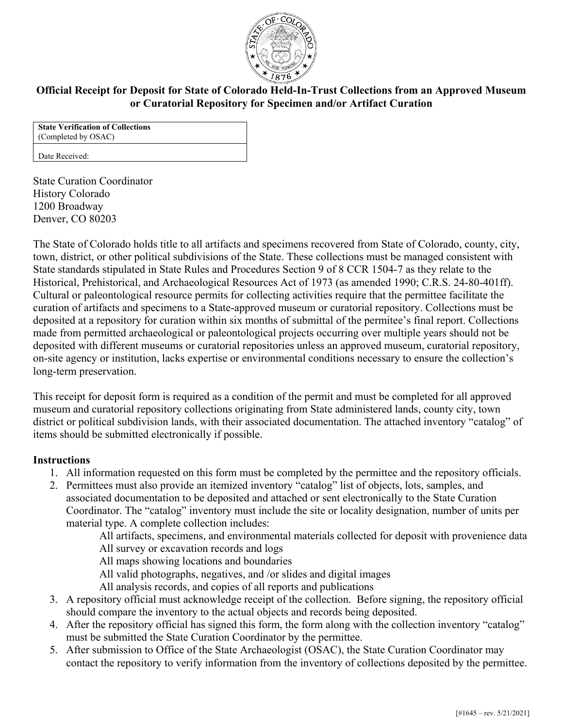

# **Official Receipt for Deposit for State of Colorado Held-In-Trust Collections from an Approved Museum or Curatorial Repository for Specimen and/or Artifact Curation**

**State Verification of Collections**  (Completed by OSAC)

Date Received:

State Curation Coordinator History Colorado 1200 Broadway Denver, CO 80203

The State of Colorado holds title to all artifacts and specimens recovered from State of Colorado, county, city, town, district, or other political subdivisions of the State. These collections must be managed consistent with State standards stipulated in State Rules and Procedures Section 9 of 8 CCR 1504-7 as they relate to the Historical, Prehistorical, and Archaeological Resources Act of 1973 (as amended 1990; C.R.S. 24-80-401ff). Cultural or paleontological resource permits for collecting activities require that the permittee facilitate the curation of artifacts and specimens to a State-approved museum or curatorial repository. Collections must be deposited at a repository for curation within six months of submittal of the permitee's final report. Collections made from permitted archaeological or paleontological projects occurring over multiple years should not be deposited with different museums or curatorial repositories unless an approved museum, curatorial repository, on-site agency or institution, lacks expertise or environmental conditions necessary to ensure the collection's long-term preservation.

This receipt for deposit form is required as a condition of the permit and must be completed for all approved museum and curatorial repository collections originating from State administered lands, county city, town district or political subdivision lands, with their associated documentation. The attached inventory "catalog" of items should be submitted electronically if possible.

### **Instructions**

- 1. All information requested on this form must be completed by the permittee and the repository officials.
- 2. Permittees must also provide an itemized inventory "catalog" list of objects, lots, samples, and associated documentation to be deposited and attached or sent electronically to the State Curation Coordinator. The "catalog" inventory must include the site or locality designation, number of units per material type. A complete collection includes:

All artifacts, specimens, and environmental materials collected for deposit with provenience data All survey or excavation records and logs

All maps showing locations and boundaries

- 
- All valid photographs, negatives, and /or slides and digital images All analysis records, and copies of all reports and publications
- 
- 3. A repository official must acknowledge receipt of the collection. Before signing, the repository official should compare the inventory to the actual objects and records being deposited.
- 4. After the repository official has signed this form, the form along with the collection inventory "catalog" must be submitted the State Curation Coordinator by the permittee.
- 5. After submission to Office of the State Archaeologist (OSAC), the State Curation Coordinator may contact the repository to verify information from the inventory of collections deposited by the permittee.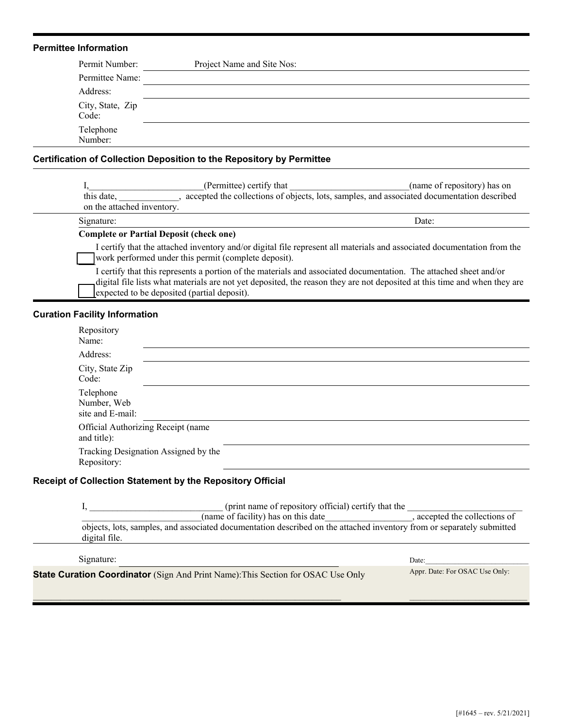#### **Permittee Information**

| Permit Number:            | Project Name and Site Nos: |
|---------------------------|----------------------------|
| Permittee Name:           |                            |
| Address:                  |                            |
| City, State, Zip<br>Code: |                            |
| Telephone<br>Number:      |                            |

## **Certification of Collection Deposition to the Repository by Permittee**

| this date,<br>on the attached inventory. | (Permittee) certify that                                                                                                                                                                                                                                                                      | (name of repository) has on<br>accepted the collections of objects, lots, samples, and associated documentation described |
|------------------------------------------|-----------------------------------------------------------------------------------------------------------------------------------------------------------------------------------------------------------------------------------------------------------------------------------------------|---------------------------------------------------------------------------------------------------------------------------|
| Signature:                               |                                                                                                                                                                                                                                                                                               | Date:                                                                                                                     |
|                                          | <b>Complete or Partial Deposit (check one)</b><br>I certify that the attached inventory and/or digital file represent all materials and associated documentation from the<br>work performed under this permit (complete deposit).                                                             |                                                                                                                           |
|                                          | I certify that this represents a portion of the materials and associated documentation. The attached sheet and/or<br>digital file lists what materials are not yet deposited, the reason they are not deposited at this time and when they are<br>expected to be deposited (partial deposit). |                                                                                                                           |

### **Curation Facility Information**

| Repository<br>Name:                                 |  |  |  |  |
|-----------------------------------------------------|--|--|--|--|
| Address:                                            |  |  |  |  |
| City, State Zip<br>Code:                            |  |  |  |  |
| Telephone<br>Number, Web<br>site and E-mail:        |  |  |  |  |
| Official Authorizing Receipt (name<br>and title):   |  |  |  |  |
| Tracking Designation Assigned by the<br>Repository: |  |  |  |  |

### **Receipt of Collection Statement by the Repository Official**

 $\_$  , and the set of the set of the set of the set of the set of the set of the set of the set of the set of the set of the set of the set of the set of the set of the set of the set of the set of the set of the set of th

|                                                                                                                                        | (print name of repository official) certify that the |  |  |  |
|----------------------------------------------------------------------------------------------------------------------------------------|------------------------------------------------------|--|--|--|
| (name of facility) has on this date                                                                                                    | , accepted the collections of                        |  |  |  |
| objects, lots, samples, and associated documentation described on the attached inventory from or separately submitted<br>digital file. |                                                      |  |  |  |
| Signature:                                                                                                                             | Date:                                                |  |  |  |
| <b>State Curation Coordinator</b> (Sign And Print Name): This Section for OSAC Use Only                                                | Appr. Date: For OSAC Use Only:                       |  |  |  |

 $\mathcal{L}_\text{max}$  and  $\mathcal{L}_\text{max}$  and  $\mathcal{L}_\text{max}$  and  $\mathcal{L}_\text{max}$